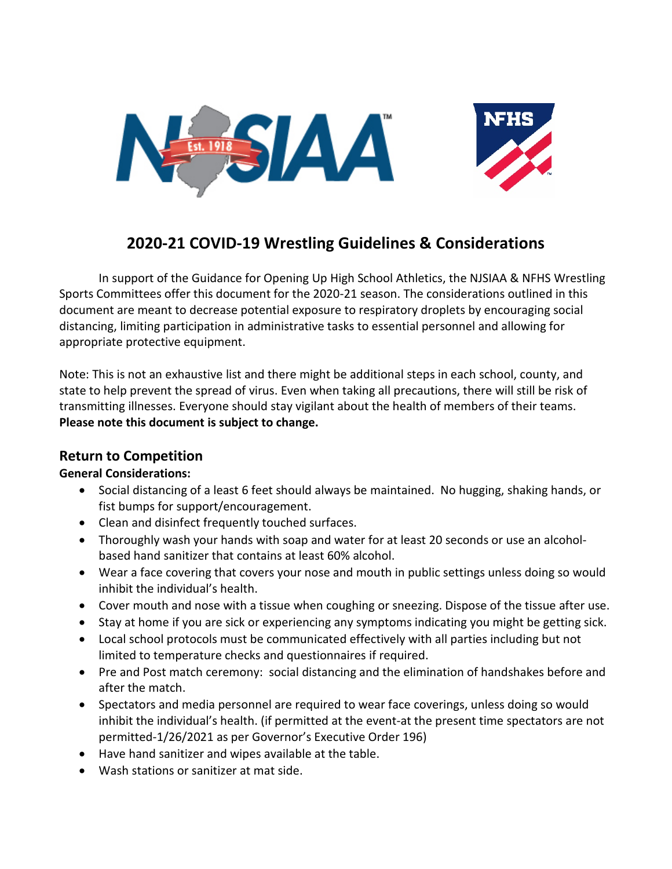



# **2020-21 COVID-19 Wrestling Guidelines & Considerations**

In support of the Guidance for Opening Up High School Athletics, the NJSIAA & NFHS Wrestling Sports Committees offer this document for the 2020-21 season. The considerations outlined in this document are meant to decrease potential exposure to respiratory droplets by encouraging social distancing, limiting participation in administrative tasks to essential personnel and allowing for appropriate protective equipment.

Note: This is not an exhaustive list and there might be additional steps in each school, county, and state to help prevent the spread of virus. Even when taking all precautions, there will still be risk of transmitting illnesses. Everyone should stay vigilant about the health of members of their teams. **Please note this document is subject to change.** 

# **Return to Competition**

# **General Considerations:**

- Social distancing of a least 6 feet should always be maintained. No hugging, shaking hands, or fist bumps for support/encouragement.
- Clean and disinfect frequently touched surfaces.
- Thoroughly wash your hands with soap and water for at least 20 seconds or use an alcoholbased hand sanitizer that contains at least 60% alcohol.
- Wear a face covering that covers your nose and mouth in public settings unless doing so would inhibit the individual's health.
- Cover mouth and nose with a tissue when coughing or sneezing. Dispose of the tissue after use.
- Stay at home if you are sick or experiencing any symptoms indicating you might be getting sick.
- Local school protocols must be communicated effectively with all parties including but not limited to temperature checks and questionnaires if required.
- Pre and Post match ceremony: social distancing and the elimination of handshakes before and after the match.
- Spectators and media personnel are required to wear face coverings, unless doing so would inhibit the individual's health. (if permitted at the event-at the present time spectators are not permitted-1/26/2021 as per Governor's Executive Order 196)
- Have hand sanitizer and wipes available at the table.
- Wash stations or sanitizer at mat side.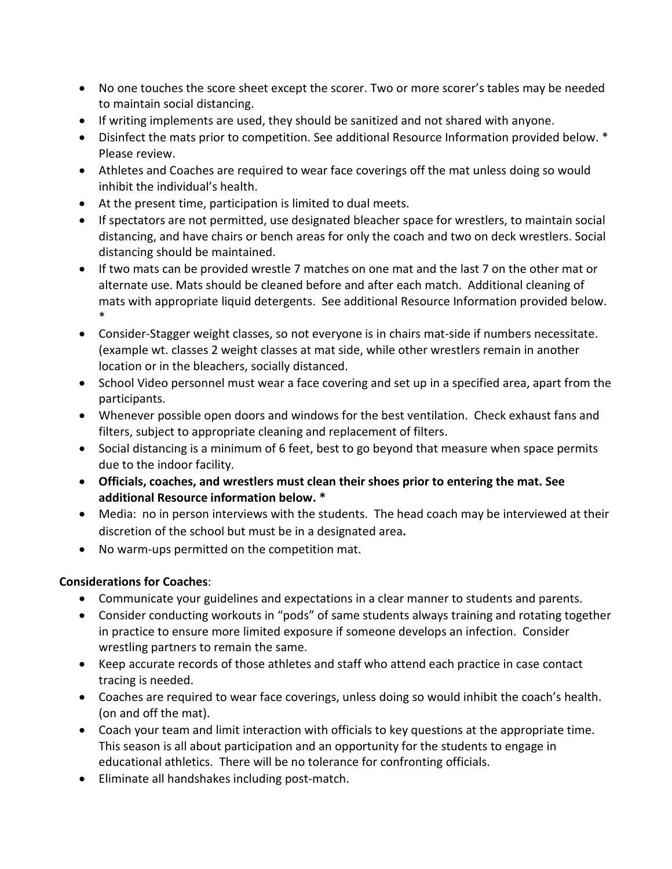- No one touches the score sheet except the scorer. Two or more scorer's tables may be needed to maintain social distancing.
- If writing implements are used, they should be sanitized and not shared with anyone.
- Disinfect the mats prior to competition. See additional Resource Information provided below. \* Please review.
- Athletes and Coaches are required to wear face coverings off the mat unless doing so would inhibit the individual's health.
- At the present time, participation is limited to dual meets.
- If spectators are not permitted, use designated bleacher space for wrestlers, to maintain social distancing, and have chairs or bench areas for only the coach and two on deck wrestlers. Social distancing should be maintained.
- If two mats can be provided wrestle 7 matches on one mat and the last 7 on the other mat or alternate use. Mats should be cleaned before and after each match. Additional cleaning of mats with appropriate liquid detergents. See additional Resource Information provided below. \*
- Consider-Stagger weight classes, so not everyone is in chairs mat-side if numbers necessitate. (example wt. classes 2 weight classes at mat side, while other wrestlers remain in another location or in the bleachers, socially distanced.
- School Video personnel must wear a face covering and set up in a specified area, apart from the participants.
- Whenever possible open doors and windows for the best ventilation. Check exhaust fans and filters, subject to appropriate cleaning and replacement of filters.
- Social distancing is a minimum of 6 feet, best to go beyond that measure when space permits due to the indoor facility.
- **Officials, coaches, and wrestlers must clean their shoes prior to entering the mat. See additional Resource information below. \***
- Media: no in person interviews with the students. The head coach may be interviewed at their discretion of the school but must be in a designated area**.**
- No warm-ups permitted on the competition mat.

# **Considerations for Coaches**:

- Communicate your guidelines and expectations in a clear manner to students and parents.
- Consider conducting workouts in "pods" of same students always training and rotating together in practice to ensure more limited exposure if someone develops an infection. Consider wrestling partners to remain the same.
- Keep accurate records of those athletes and staff who attend each practice in case contact tracing is needed.
- Coaches are required to wear face coverings, unless doing so would inhibit the coach's health. (on and off the mat).
- Coach your team and limit interaction with officials to key questions at the appropriate time. This season is all about participation and an opportunity for the students to engage in educational athletics. There will be no tolerance for confronting officials.
- Eliminate all handshakes including post-match.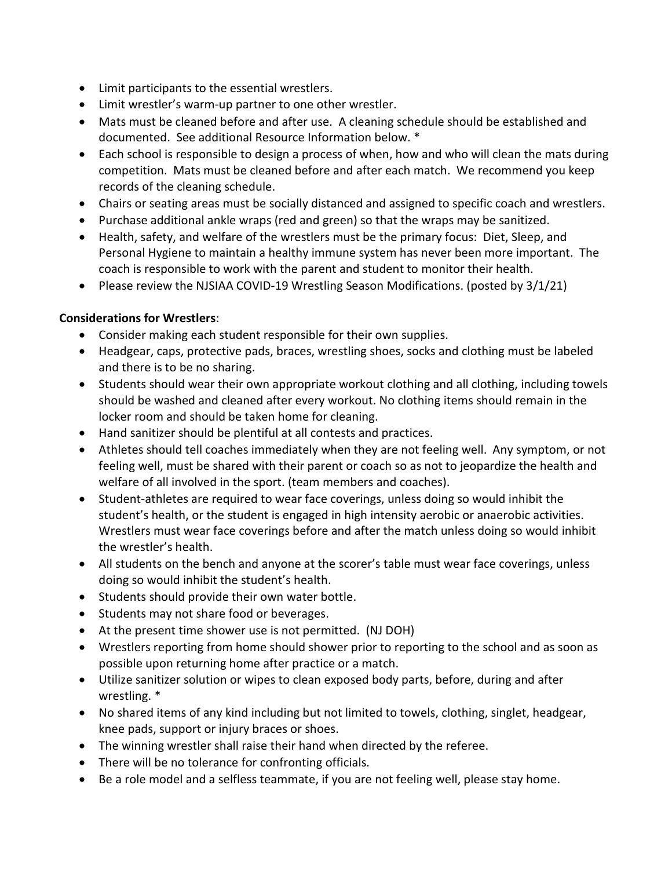- Limit participants to the essential wrestlers.
- Limit wrestler's warm-up partner to one other wrestler.
- Mats must be cleaned before and after use. A cleaning schedule should be established and documented. See additional Resource Information below. \*
- Each school is responsible to design a process of when, how and who will clean the mats during competition. Mats must be cleaned before and after each match. We recommend you keep records of the cleaning schedule.
- Chairs or seating areas must be socially distanced and assigned to specific coach and wrestlers.
- Purchase additional ankle wraps (red and green) so that the wraps may be sanitized.
- Health, safety, and welfare of the wrestlers must be the primary focus: Diet, Sleep, and Personal Hygiene to maintain a healthy immune system has never been more important. The coach is responsible to work with the parent and student to monitor their health.
- Please review the NJSIAA COVID-19 Wrestling Season Modifications. (posted by 3/1/21)

# **Considerations for Wrestlers**:

- Consider making each student responsible for their own supplies.
- Headgear, caps, protective pads, braces, wrestling shoes, socks and clothing must be labeled and there is to be no sharing.
- Students should wear their own appropriate workout clothing and all clothing, including towels should be washed and cleaned after every workout. No clothing items should remain in the locker room and should be taken home for cleaning.
- Hand sanitizer should be plentiful at all contests and practices.
- Athletes should tell coaches immediately when they are not feeling well. Any symptom, or not feeling well, must be shared with their parent or coach so as not to jeopardize the health and welfare of all involved in the sport. (team members and coaches).
- Student-athletes are required to wear face coverings, unless doing so would inhibit the student's health, or the student is engaged in high intensity aerobic or anaerobic activities. Wrestlers must wear face coverings before and after the match unless doing so would inhibit the wrestler's health.
- All students on the bench and anyone at the scorer's table must wear face coverings, unless doing so would inhibit the student's health.
- Students should provide their own water bottle.
- Students may not share food or beverages.
- At the present time shower use is not permitted. (NJ DOH)
- Wrestlers reporting from home should shower prior to reporting to the school and as soon as possible upon returning home after practice or a match.
- Utilize sanitizer solution or wipes to clean exposed body parts, before, during and after wrestling. \*
- No shared items of any kind including but not limited to towels, clothing, singlet, headgear, knee pads, support or injury braces or shoes.
- The winning wrestler shall raise their hand when directed by the referee.
- There will be no tolerance for confronting officials.
- Be a role model and a selfless teammate, if you are not feeling well, please stay home.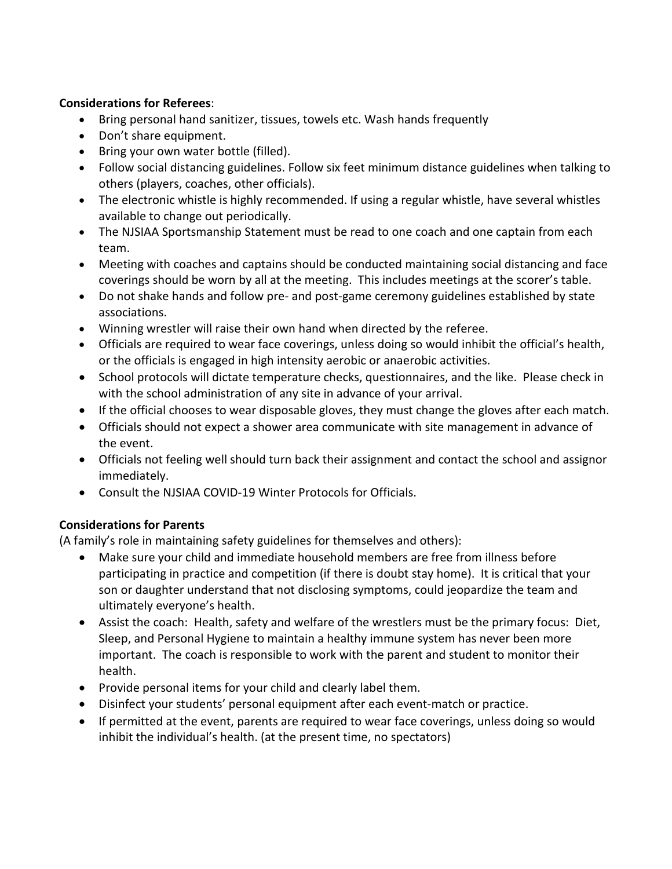#### **Considerations for Referees**:

- Bring personal hand sanitizer, tissues, towels etc. Wash hands frequently
- Don't share equipment.
- Bring your own water bottle (filled).
- Follow social distancing guidelines. Follow six feet minimum distance guidelines when talking to others (players, coaches, other officials).
- The electronic whistle is highly recommended. If using a regular whistle, have several whistles available to change out periodically.
- The NJSIAA Sportsmanship Statement must be read to one coach and one captain from each team.
- Meeting with coaches and captains should be conducted maintaining social distancing and face coverings should be worn by all at the meeting. This includes meetings at the scorer's table.
- Do not shake hands and follow pre- and post-game ceremony guidelines established by state associations.
- Winning wrestler will raise their own hand when directed by the referee.
- Officials are required to wear face coverings, unless doing so would inhibit the official's health, or the officials is engaged in high intensity aerobic or anaerobic activities.
- School protocols will dictate temperature checks, questionnaires, and the like. Please check in with the school administration of any site in advance of your arrival.
- If the official chooses to wear disposable gloves, they must change the gloves after each match.
- Officials should not expect a shower area communicate with site management in advance of the event.
- Officials not feeling well should turn back their assignment and contact the school and assignor immediately.
- Consult the NJSIAA COVID-19 Winter Protocols for Officials.

# **Considerations for Parents**

(A family's role in maintaining safety guidelines for themselves and others):

- Make sure your child and immediate household members are free from illness before participating in practice and competition (if there is doubt stay home). It is critical that your son or daughter understand that not disclosing symptoms, could jeopardize the team and ultimately everyone's health.
- Assist the coach: Health, safety and welfare of the wrestlers must be the primary focus: Diet, Sleep, and Personal Hygiene to maintain a healthy immune system has never been more important. The coach is responsible to work with the parent and student to monitor their health.
- Provide personal items for your child and clearly label them.
- Disinfect your students' personal equipment after each event-match or practice.
- If permitted at the event, parents are required to wear face coverings, unless doing so would inhibit the individual's health. (at the present time, no spectators)